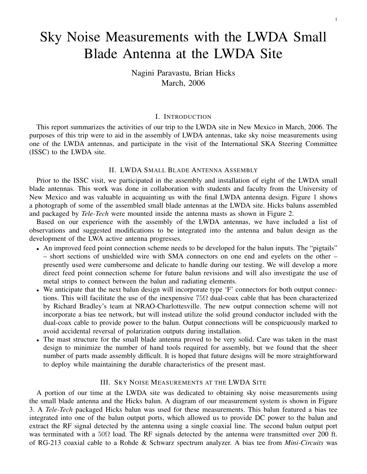# Sky Noise Measurements with the LWDA Small Blade Antenna at the LWDA Site

Nagini Paravastu, Brian Hicks March, 2006

## I. INTRODUCTION

This report summarizes the activities of our trip to the LWDA site in New Mexico in March, 2006. The purposes of this trip were to aid in the assembly of LWDA antennas, take sky noise measurements using one of the LWDA antennas, and participate in the visit of the International SKA Steering Committee (ISSC) to the LWDA site.

## II. LWDA SMALL BLADE ANTENNA ASSEMBLY

Prior to the ISSC visit, we participated in the assembly and installation of eight of the LWDA small blade antennas. This work was done in collaboration with students and faculty from the University of New Mexico and was valuable in acquainting us with the final LWDA antenna design. Figure 1 shows a photograph of some of the assembled small blade antennas at the LWDA site. Hicks baluns assembled and packaged by *Tele-Tech* were mounted inside the antenna masts as shown in Figure 2.

Based on our experience with the assembly of the LWDA antennas, we have included a list of observations and suggested modifications to be integrated into the antenna and balun design as the development of the LWA active antenna progresses.

- An improved feed point connection scheme needs to be developed for the balun inputs. The "pigtails" – short sections of unshielded wire with SMA connectors on one end and eyelets on the other – presently used were cumbersome and delicate to handle during our testing. We will develop a more direct feed point connection scheme for future balun revisions and will also investigate the use of metal strips to connect between the balun and radiating elements.
- We anticipate that the next balun design will incorporate type 'F' connectors for both output connections. This will facilitate the use of the inexpensive 75 $\Omega$  dual-coax cable that has been characterized by Richard Bradley's team at NRAO-Charlottesville. The new output connection scheme will not incorporate a bias tee network, but will instead utilize the solid ground conductor included with the dual-coax cable to provide power to the balun. Output connections will be conspicuously marked to avoid accidental reversal of polarization outputs during installation.
- The mast structure for the small blade antenna proved to be very solid. Care was taken in the mast design to minimize the number of hand tools required for assembly, but we found that the sheer number of parts made assembly difficult. It is hoped that future designs will be more straightforward to deploy while maintaining the durable characteristics of the present mast.

## III. SKY NOISE MEASUREMENTS AT THE LWDA SITE

A portion of our time at the LWDA site was dedicated to obtaining sky noise measurements using the small blade antenna and the Hicks balun. A diagram of our measurement system is shown in Figure 3. A *Tele-Tech* packaged Hicks balun was used for these measurements. This balun featured a bias tee integrated into one of the balun output ports, which allowed us to provide DC power to the balun and extract the RF signal detected by the antenna using a single coaxial line. The second balun output port was terminated with a  $50\Omega$  load. The RF signals detected by the antenna were transmitted over 200 ft. of RG-213 coaxial cable to a Rohde & Schwarz spectrum analyzer. A bias tee from *Mini-Circuits* was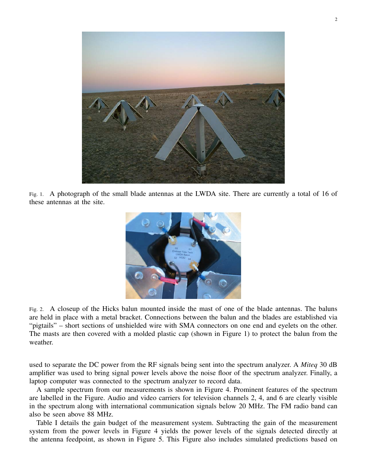

Fig. 1. A photograph of the small blade antennas at the LWDA site. There are currently a total of 16 of these antennas at the site.



Fig. 2. A closeup of the Hicks balun mounted inside the mast of one of the blade antennas. The baluns are held in place with a metal bracket. Connections between the balun and the blades are established via "pigtails" – short sections of unshielded wire with SMA connectors on one end and eyelets on the other. The masts are then covered with a molded plastic cap (shown in Figure 1) to protect the balun from the weather.

used to separate the DC power from the RF signals being sent into the spectrum analyzer. A *Miteq* 30 dB amplifier was used to bring signal power levels above the noise floor of the spectrum analyzer. Finally, a laptop computer was connected to the spectrum analyzer to record data.

A sample spectrum from our measurements is shown in Figure 4. Prominent features of the spectrum are labelled in the Figure. Audio and video carriers for television channels 2, 4, and 6 are clearly visible in the spectrum along with international communication signals below 20 MHz. The FM radio band can also be seen above 88 MHz.

Table I details the gain budget of the measurement system. Subtracting the gain of the measurement system from the power levels in Figure 4 yields the power levels of the signals detected directly at the antenna feedpoint, as shown in Figure 5. This Figure also includes simulated predictions based on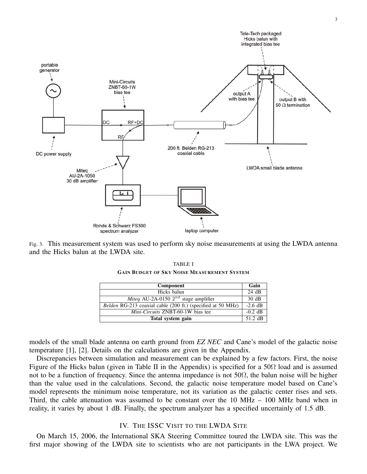

Fig. 3. This measurement system was used to perform sky noise measurements at using the LWDA antenna and the Hicks balun at the LWDA site.

| Component                                                   | Gain      |
|-------------------------------------------------------------|-----------|
| Hicks balun                                                 | 24 dB     |
| <i>Miteq</i> AU-2A-0150 $2^{nd}$ stage amplifier            | 30 dB     |
| Belden RG-213 coaxial cable (200 ft.) (specified at 50 MHz) | $-2.6$ dB |
| Mini-Circuits ZNBT-60-1W bias tee                           | $-0.2$ dB |
| Total system gain                                           | $51.2$ dB |

TABLE I GAIN BUDGET OF SKY NOISE MEASUREMENT SYSTEM

models of the small blade antenna on earth ground from *EZ NEC* and Cane's model of the galactic noise temperature [1], [2]. Details on the calculations are given in the Appendix.

Discrepancies between simulation and measurement can be explained by a few factors. First, the noise Figure of the Hicks balun (given in Table II in the Appendix) is specified for a 50 $\Omega$  load and is assumed not to be a function of frequency. Since the antenna impedance is not 50Ω, the balun noise will be higher than the value used in the calculations. Second, the galactic noise temperature model based on Cane's model represents the minimum noise temperature, not its variation as the galactic center rises and sets. Third, the cable attenuation was assumed to be constant over the  $10$  MHz –  $100$  MHz band when in reality, it varies by about 1 dB. Finally, the spectrum analyzer has a specified uncertainly of 1.5 dB.

# IV. THE ISSC VISIT TO THE LWDA SITE

On March 15, 2006, the International SKA Steering Committee toured the LWDA site. This was the first major showing of the LWDA site to scientists who are not participants in the LWA project. We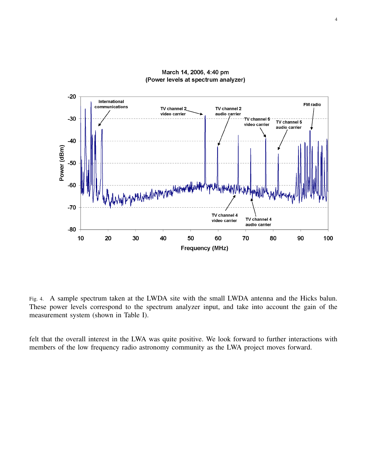

March 14, 2006, 4:40 pm (Power levels at spectrum analyzer)

Fig. 4. A sample spectrum taken at the LWDA site with the small LWDA antenna and the Hicks balun. These power levels correspond to the spectrum analyzer input, and take into account the gain of the measurement system (shown in Table I).

felt that the overall interest in the LWA was quite positive. We look forward to further interactions with members of the low frequency radio astronomy community as the LWA project moves forward.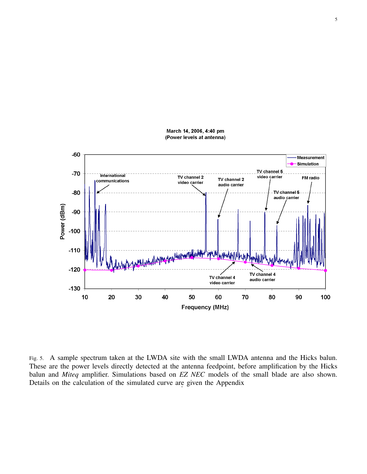

March 14, 2006, 4:40 pm (Power levels at antenna)

Fig. 5. A sample spectrum taken at the LWDA site with the small LWDA antenna and the Hicks balun. These are the power levels directly detected at the antenna feedpoint, before amplification by the Hicks balun and *Miteq* amplifier. Simulations based on *EZ NEC* models of the small blade are also shown. Details on the calculation of the simulated curve are given the Appendix .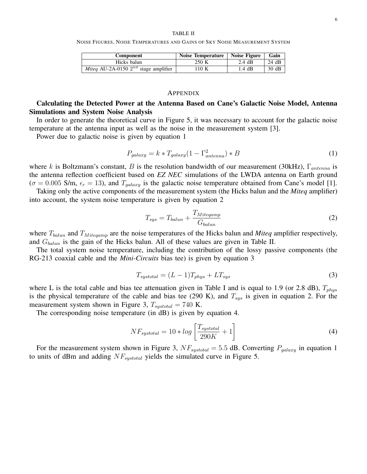#### TABLE II

NOISE FIGURES, NOISE TEMPERATURES AND GAINS OF SKY NOISE MEASUREMENT SYSTEM

| Component                                        | <b>Noise Temperature</b> | Noise Figure     | Gain  |
|--------------------------------------------------|--------------------------|------------------|-------|
| Hicks balun                                      | 250 K                    | $2.4 \text{ dB}$ | 24 dB |
| <i>Miteq</i> AU-2A-0150 $2^{nd}$ stage amplifier | ' 10 K                   | 1.4 dB           | 30dB  |

### APPENDIX

# Calculating the Detected Power at the Antenna Based on Cane's Galactic Noise Model, Antenna Simulations and System Noise Analysis

In order to generate the theoretical curve in Figure 5, it was necessary to account for the galactic noise temperature at the antenna input as well as the noise in the measurement system [3].

Power due to galactic noise is given by equation 1

$$
P_{galaxy} = k * T_{galaxy} (1 - \Gamma_{antenna}^2) * B \tag{1}
$$

where k is Boltzmann's constant, B is the resolution bandwidth of our measurement (30kHz),  $\Gamma_{antenna}$  is the antenna reflection coefficient based on *EZ NEC* simulations of the LWDA antenna on Earth ground  $(\sigma = 0.005 \text{ S/m}, \epsilon_r = 13)$ , and  $T_{galaxy}$  is the galactic noise temperature obtained from Cane's model [1].

Taking only the active components of the measurement system (the Hicks balun and the *Miteq* amplifier) into account, the system noise temperature is given by equation 2

$$
T_{sys} = T_{balun} + \frac{T_{Miteqamp}}{G_{balun}}
$$
\n
$$
\tag{2}
$$

where  $T_{\text{balun}}$  and  $T_{\text{Miteqamp}}$  are the noise temperatures of the Hicks balun and *Miteq* amplifier respectively, and  $G_{balun}$  is the gain of the Hicks balun. All of these values are given in Table II.

The total system noise temperature, including the contribution of the lossy passive components (the RG-213 coaxial cable and the *Mini-Circuits* bias tee) is given by equation 3

$$
T_{systotal} = (L - 1)T_{phys} + LT_{sys}
$$
\n(3)

where L is the total cable and bias tee attenuation given in Table I and is equal to 1.9 (or 2.8 dB),  $T_{phys}$ is the physical temperature of the cable and bias tee (290 K), and  $T_{sys}$  is given in equation 2. For the measurement system shown in Figure 3,  $T_{systotal} = 740$  K.

The corresponding noise temperature (in dB) is given by equation 4.

$$
NF_{systotal} = 10 * log \left[ \frac{T_{systotal}}{290K} + 1 \right]
$$
\n(4)

For the measurement system shown in Figure 3,  $NF_{systotal} = 5.5$  dB. Converting  $P_{galaxy}$  in equation 1 to units of dBm and adding  $NF_{systotal}$  yields the simulated curve in Figure 5.